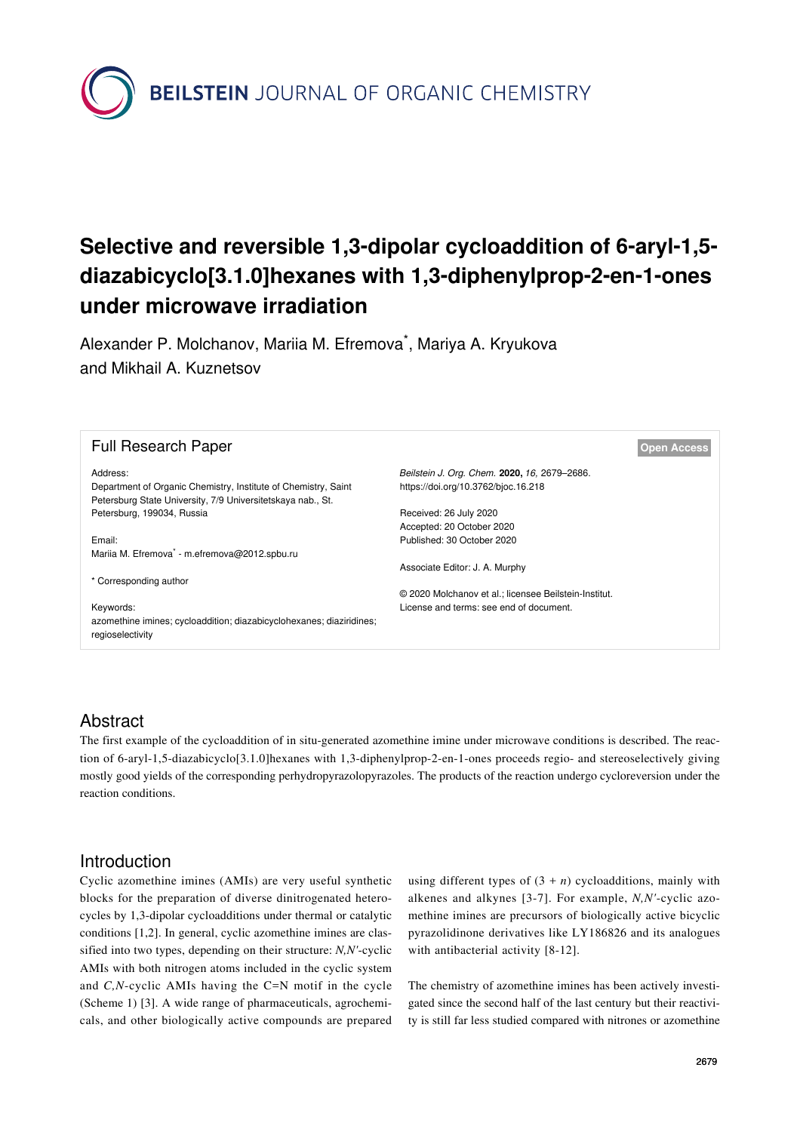**BEILSTEIN** JOURNAL OF ORGANIC CHEMISTRY

# **Selective and reversible 1,3-dipolar cycloaddition of 6-aryl-1,5 diazabicyclo[3.1.0]hexanes with 1,3-diphenylprop-2-en-1-ones under microwave irradiation**

Alexander P. Molchanov, Mariia M. Efremova<sup>\*</sup>, Mariya A. Kryukova and Mikhail A. Kuznetsov

| <b>Full Research Paper</b>                                                                                                                |                                                                                                  | <b>Open Access</b> |
|-------------------------------------------------------------------------------------------------------------------------------------------|--------------------------------------------------------------------------------------------------|--------------------|
| Address:<br>Department of Organic Chemistry, Institute of Chemistry, Saint<br>Petersburg State University, 7/9 Universitetskaya nab., St. | Beilstein J. Org. Chem. 2020, 16, 2679-2686.<br>https://doi.org/10.3762/bjoc.16.218              |                    |
| Petersburg, 199034, Russia                                                                                                                | Received: 26 July 2020<br>Accepted: 20 October 2020                                              |                    |
| Email:<br>Mariia M. Efremova <sup>*</sup> - m.efremova@2012.spbu.ru                                                                       | Published: 30 October 2020                                                                       |                    |
| * Corresponding author                                                                                                                    | Associate Editor: J. A. Murphy                                                                   |                    |
| Keywords:                                                                                                                                 | © 2020 Molchanov et al.; licensee Beilstein-Institut.<br>License and terms: see end of document. |                    |
| azomethine imines; cycloaddition; diazabicyclohexanes; diaziridines;<br>regioselectivity                                                  |                                                                                                  |                    |

# Abstract

The first example of the cycloaddition of in situ-generated azomethine imine under microwave conditions is described. The reaction of 6-aryl-1,5-diazabicyclo[3.1.0]hexanes with 1,3-diphenylprop-2-en-1-ones proceeds regio- and stereoselectively giving mostly good yields of the corresponding perhydropyrazolopyrazoles. The products of the reaction undergo cycloreversion under the reaction conditions.

### Introduction

Cyclic azomethine imines (AMIs) are very useful synthetic blocks for the preparation of diverse dinitrogenated heterocycles by 1,3-dipolar cycloadditions under thermal or catalytic conditions [\[1,2\].](#page-6-0) In general, cyclic azomethine imines are classified into two types, depending on their structure: *N,N'*-cyclic AMIs with both nitrogen atoms included in the cyclic system and *C,N*-cyclic AMIs having the C=N motif in the cycle ([Scheme 1\)](#page-1-0) [\[3\]](#page-6-1). A wide range of pharmaceuticals, agrochemicals, and other biologically active compounds are prepared using different types of  $(3 + n)$  cycloadditions, mainly with alkenes and alkynes [\[3-7\].](#page-6-1) For example, *N,N'*-cyclic azomethine imines are precursors of biologically active bicyclic pyrazolidinone derivatives like LY186826 and its analogues with antibacterial activity [\[8-12\].](#page-6-2)

The chemistry of azomethine imines has been actively investigated since the second half of the last century but their reactivity is still far less studied compared with nitrones or azomethine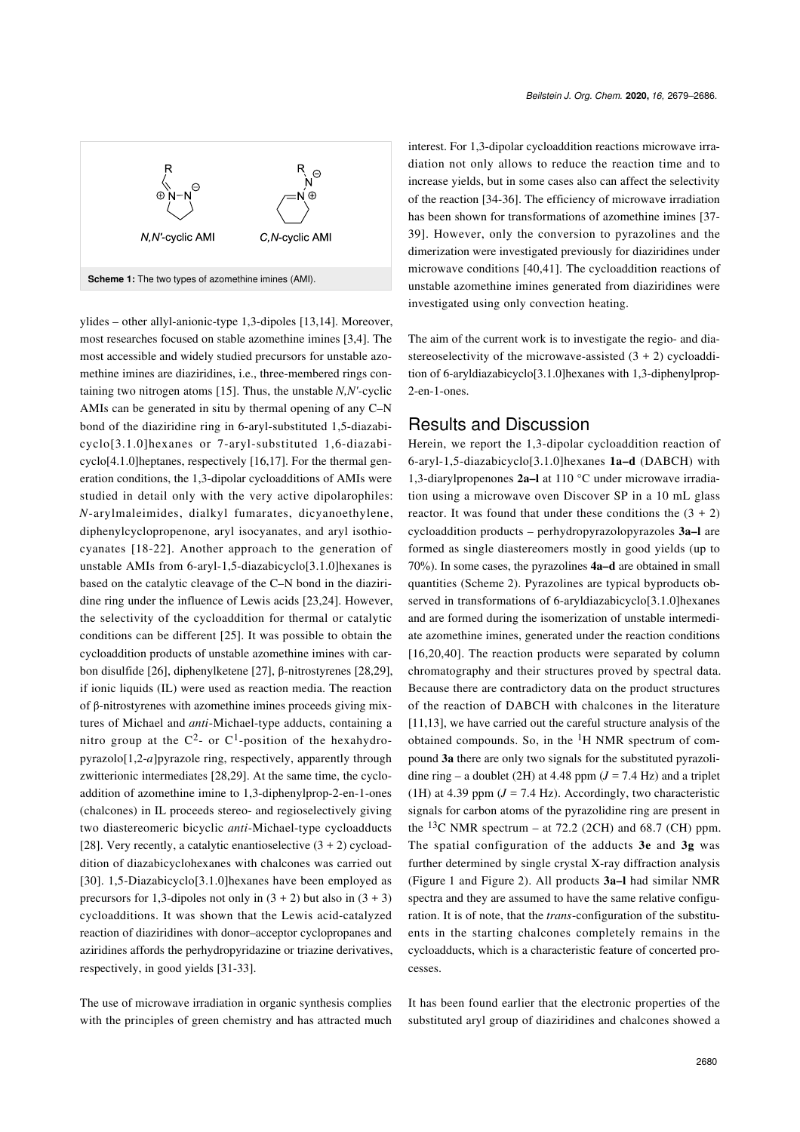<span id="page-1-0"></span>

ylides – other allyl-anionic-type 1,3-dipoles [\[13,14\]](#page-6-3). Moreover, most researches focused on stable azomethine imines [\[3,4\].](#page-6-1) The most accessible and widely studied precursors for unstable azomethine imines are diaziridines, i.e., three-membered rings containing two nitrogen atoms [\[15\].](#page-6-4) Thus, the unstable *N,N'*-cyclic AMIs can be generated in situ by thermal opening of any C–N bond of the diaziridine ring in 6-aryl-substituted 1,5-diazabicyclo[3.1.0]hexanes or 7-aryl-substituted 1,6-diazabicyclo[4.1.0]heptanes, respectively [\[16,17\]](#page-6-5). For the thermal generation conditions, the 1,3-dipolar cycloadditions of AMIs were studied in detail only with the very active dipolarophiles: *N*-arylmaleimides, dialkyl fumarates, dicyanoethylene, diphenylcyclopropenone, aryl isocyanates, and aryl isothiocyanates [\[18-22\]](#page-6-6). Another approach to the generation of unstable AMIs from 6-aryl-1,5-diazabicyclo[3.1.0]hexanes is based on the catalytic cleavage of the C–N bond in the diaziridine ring under the influence of Lewis acids [\[23,24\].](#page-6-7) However, the selectivity of the cycloaddition for thermal or catalytic conditions can be different [\[25\]](#page-6-8). It was possible to obtain the cycloaddition products of unstable azomethine imines with carbon disulfide [\[26\],](#page-6-9) diphenylketene [\[27\]](#page-6-10), β-nitrostyrenes [\[28,29\]](#page-6-11), if ionic liquids (IL) were used as reaction media. The reaction of β-nitrostyrenes with azomethine imines proceeds giving mixtures of Michael and *anti*-Michael-type adducts, containing a nitro group at the  $C^2$ - or  $C^1$ -position of the hexahydropyrazolo[1,2-*a*]pyrazole ring, respectively, apparently through zwitterionic intermediates [\[28,29\]](#page-6-11). At the same time, the cycloaddition of azomethine imine to 1,3-diphenylprop-2-en-1-ones (chalcones) in IL proceeds stereo- and regioselectively giving two diastereomeric bicyclic *anti*-Michael-type cycloadducts [\[28\].](#page-6-11) Very recently, a catalytic enantioselective  $(3 + 2)$  cycloaddition of diazabicyclohexanes with chalcones was carried out [\[30\]](#page-6-12). 1,5-Diazabicyclo[3.1.0]hexanes have been employed as precursors for 1,3-dipoles not only in  $(3 + 2)$  but also in  $(3 + 3)$ cycloadditions. It was shown that the Lewis acid-catalyzed reaction of diaziridines with donor–acceptor cyclopropanes and aziridines affords the perhydropyridazine or triazine derivatives, respectively, in good yields [\[31-33\]](#page-6-13).

The use of microwave irradiation in organic synthesis complies with the principles of green chemistry and has attracted much interest. For 1,3-dipolar cycloaddition reactions microwave irradiation not only allows to reduce the reaction time and to increase yields, but in some cases also can affect the selectivity of the reaction [\[34-36\].](#page-6-14) The efficiency of microwave irradiation has been shown for transformations of azomethine imines [\[37-](#page-7-0) [39\]](#page-7-0). However, only the conversion to pyrazolines and the dimerization were investigated previously for diaziridines under microwave conditions [\[40,41\]](#page-7-1). The cycloaddition reactions of unstable azomethine imines generated from diaziridines were investigated using only convection heating.

The aim of the current work is to investigate the regio- and diastereoselectivity of the microwave-assisted  $(3 + 2)$  cycloaddition of 6-aryldiazabicyclo[3.1.0]hexanes with 1,3-diphenylprop-2-en-1-ones.

#### Results and Discussion

Herein, we report the 1,3-dipolar cycloaddition reaction of 6-aryl-1,5-diazabicyclo[3.1.0]hexanes **1a–d** (DABCH) with 1,3-diarylpropenones **2a–l** at 110 °С under microwave irradiation using a microwave oven Discover SP in a 10 mL glass reactor. It was found that under these conditions the  $(3 + 2)$ cycloaddition products – perhydropyrazolopyrazoles **3a–l** are formed as single diastereomers mostly in good yields (up to 70%). In some cases, the pyrazolines **4a–d** are obtained in small quantities ([Scheme 2](#page-2-0)). Pyrazolines are typical byproducts observed in transformations of 6-aryldiazabicyclo[3.1.0]hexanes and are formed during the isomerization of unstable intermediate azomethine imines, generated under the reaction conditions  $[16,20,40]$ . The reaction products were separated by column chromatography and their structures proved by spectral data. Because there are contradictory data on the product structures of the reaction of DABCH with chalcones in the literature [\[11,13\]](#page-6-15), we have carried out the careful structure analysis of the obtained compounds. So, in the  ${}^{1}H$  NMR spectrum of compound **3a** there are only two signals for the substituted pyrazolidine ring – a doublet (2H) at 4.48 ppm  $(J = 7.4 \text{ Hz})$  and a triplet (1H) at 4.39 ppm  $(J = 7.4 \text{ Hz})$ . Accordingly, two characteristic signals for carbon atoms of the pyrazolidine ring are present in the  $^{13}$ C NMR spectrum – at 72.2 (2CH) and 68.7 (CH) ppm. The spatial configuration of the adducts **3e** and **3g** was further determined by single crystal X-ray diffraction analysis ([Figure 1](#page-3-0) and [Figure 2\)](#page-3-1). All products **3a–l** had similar NMR spectra and they are assumed to have the same relative configuration. It is of note, that the *trans*-configuration of the substituents in the starting chalcones completely remains in the cycloadducts, which is a characteristic feature of concerted processes.

It has been found earlier that the electronic properties of the substituted aryl group of diaziridines and chalcones showed a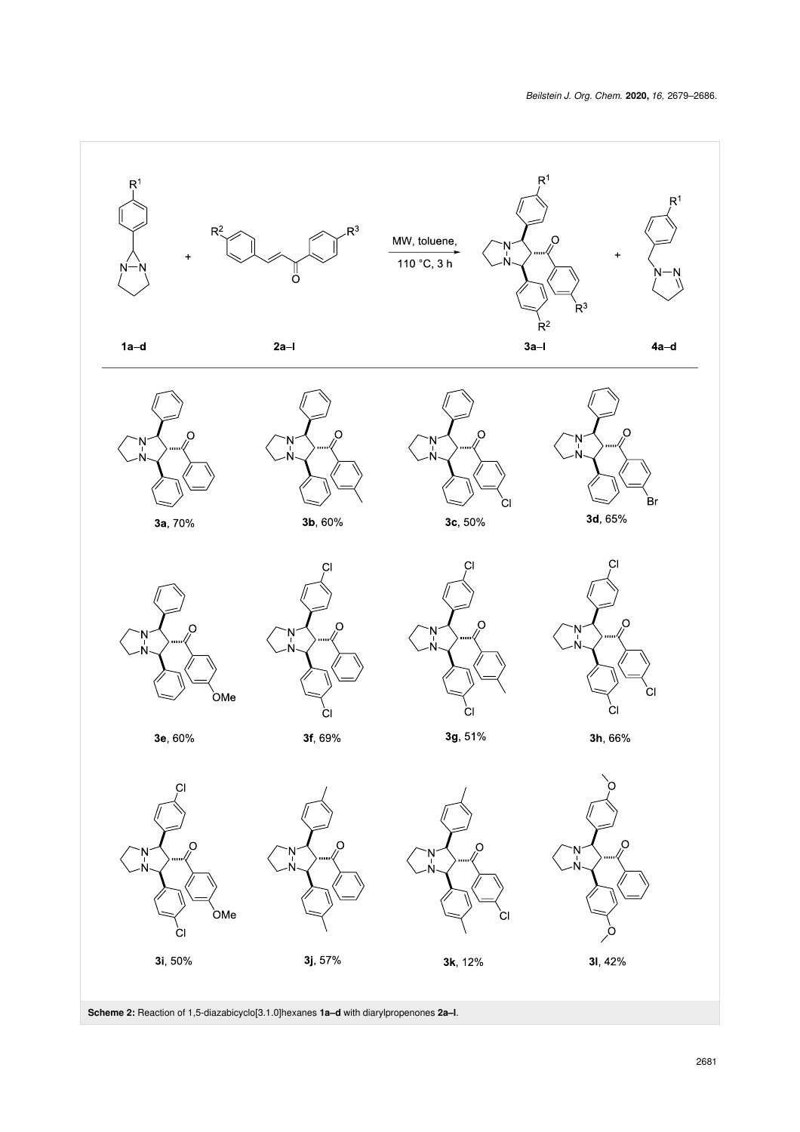<span id="page-2-0"></span>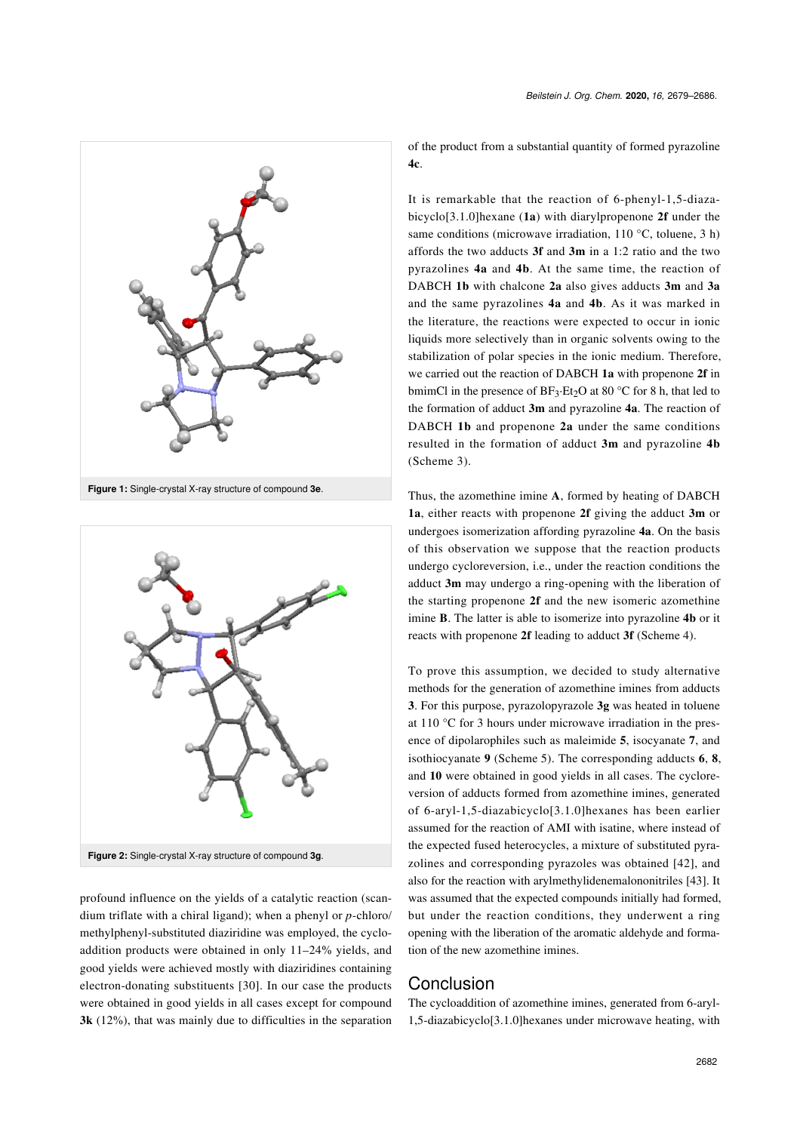

<span id="page-3-0"></span>

<span id="page-3-1"></span>

profound influence on the yields of a catalytic reaction (scandium triflate with a chiral ligand); when a phenyl or *p*-chloro/ methylphenyl-substituted diaziridine was employed, the cycloaddition products were obtained in only 11–24% yields, and good yields were achieved mostly with diaziridines containing electron-donating substituents [\[30\]](#page-6-12). In our case the products were obtained in good yields in all cases except for compound **3k** (12%), that was mainly due to difficulties in the separation of the product from a substantial quantity of formed pyrazoline

It is remarkable that the reaction of 6-phenyl-1,5-diazabicyclo[3.1.0]hexane (**1a**) with diarylpropenone **2f** under the same conditions (microwave irradiation, 110 °С, toluene, 3 h) affords the two adducts **3f** and **3m** in a 1:2 ratio and the two pyrazolines **4a** and **4b**. At the same time, the reaction of DABCH **1b** with chalcone **2a** also gives adducts **3m** and **3a** and the same pyrazolines **4a** and **4b**. As it was marked in the literature, the reactions were expected to occur in ionic liquids more selectively than in organic solvents owing to the stabilization of polar species in the ionic medium. Therefore, we carried out the reaction of DABCH **1a** with propenone **2f** in bmimCl in the presence of  $BF_3 \cdot Et_2O$  at 80 °C for 8 h, that led to the formation of adduct **3m** and pyrazoline **4a**. The reaction of DABCH **1b** and propenone **2a** under the same conditions resulted in the formation of adduct **3m** and pyrazoline **4b** ([Scheme 3](#page-4-0)).

Thus, the azomethine imine **A**, formed by heating of DABCH **1a**, either reacts with propenone **2f** giving the adduct **3m** or undergoes isomerization affording pyrazoline **4a**. On the basis of this observation we suppose that the reaction products undergo cycloreversion, i.e., under the reaction conditions the adduct **3m** may undergo a ring-opening with the liberation of the starting propenone **2f** and the new isomeric azomethine imine **B**. The latter is able to isomerize into pyrazoline **4b** or it reacts with propenone **2f** leading to adduct **3f** ([Scheme 4\)](#page-5-0).

To prove this assumption, we decided to study alternative methods for the generation of azomethine imines from adducts **3**. For this purpose, pyrazolopyrazole **3g** was heated in toluene at 110 °C for 3 hours under microwave irradiation in the presence of dipolarophiles such as maleimide **5**, isocyanate **7**, and isothiocyanate **9** ([Scheme 5](#page-5-1)). The corresponding adducts **6**, **8**, and **10** were obtained in good yields in all cases. The cycloreversion of adducts formed from azomethine imines, generated of 6-aryl-1,5-diazabicyclo[3.1.0]hexanes has been earlier assumed for the reaction of AMI with isatine, where instead of the expected fused heterocycles, a mixture of substituted pyrazolines and corresponding pyrazoles was obtained [\[42\]](#page-7-2), and also for the reaction with arylmethylidenemalononitriles [\[43\]](#page-7-3). It was assumed that the expected compounds initially had formed, but under the reaction conditions, they underwent a ring opening with the liberation of the aromatic aldehyde and formation of the new azomethine imines.

#### Conclusion

The cycloaddition of azomethine imines, generated from 6-aryl-1,5-diazabicyclo[3.1.0]hexanes under microwave heating, with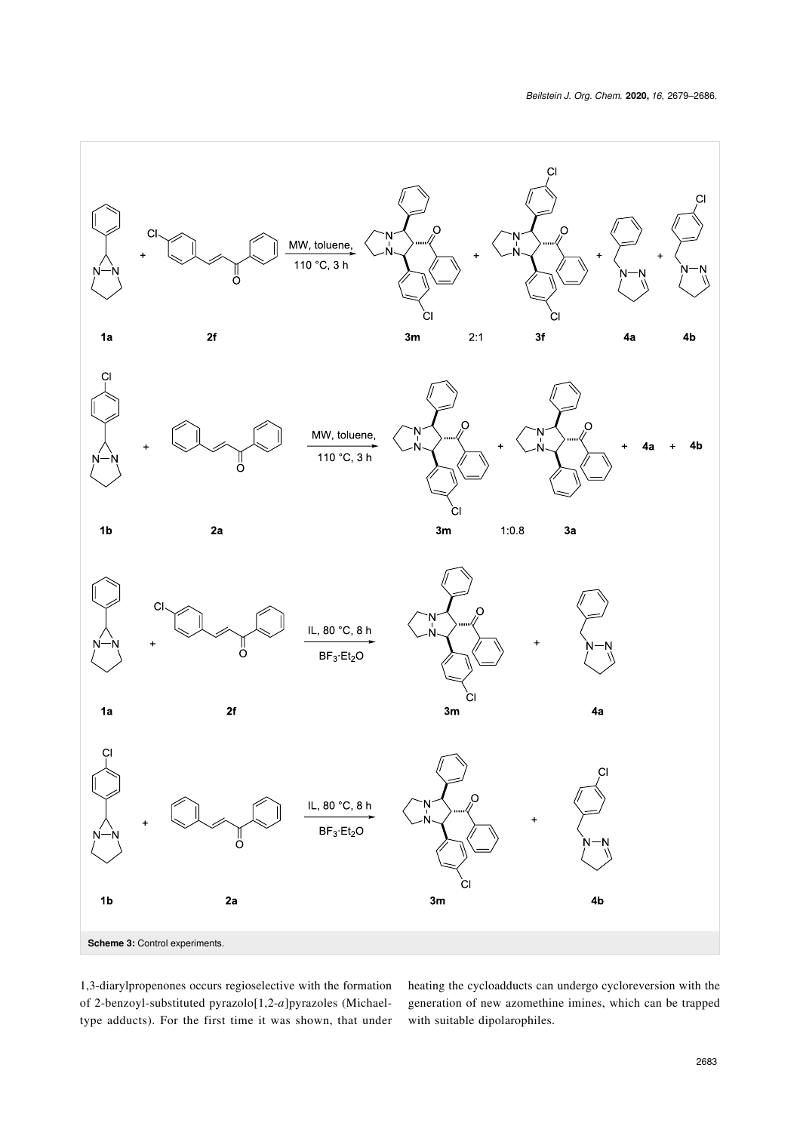<span id="page-4-0"></span>

1,3-diarylpropenones occurs regioselective with the formation of 2-benzoyl-substituted pyrazolo[1,2-*a*]pyrazoles (Michaeltype adducts). For the first time it was shown, that under heating the cycloadducts can undergo cycloreversion with the generation of new azomethine imines, which can be trapped with suitable dipolarophiles.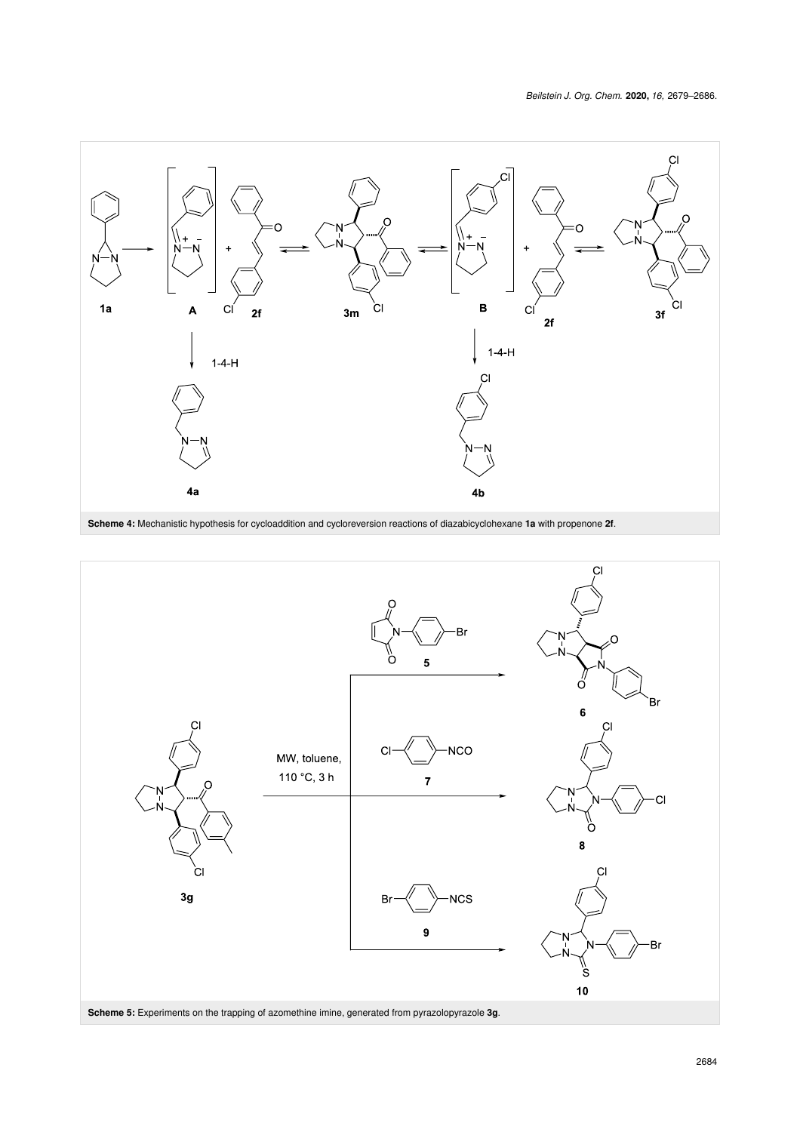<span id="page-5-0"></span>

<span id="page-5-1"></span>**Scheme 4:** Mechanistic hypothesis for cycloaddition and cycloreversion reactions of diazabicyclohexane **1a** with propenone **2f**.

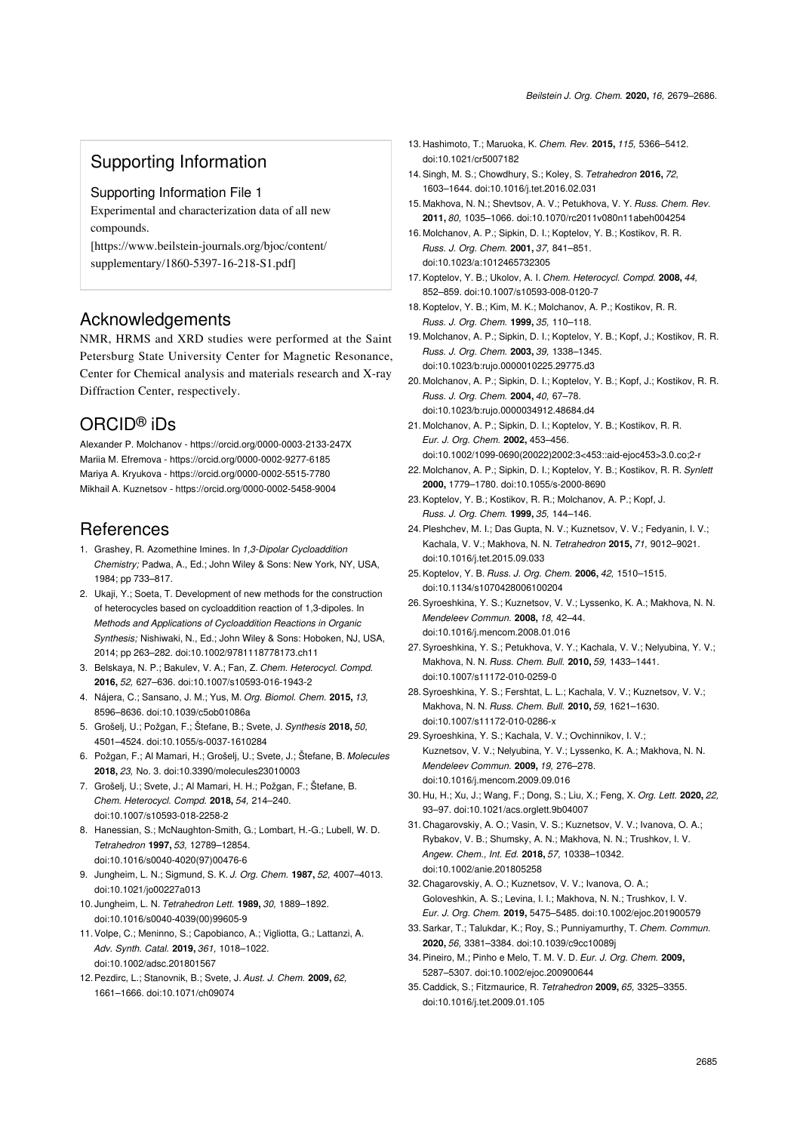## Supporting Information

Supporting Information File 1

Experimental and characterization data of all new compounds.

[\[https://www.beilstein-journals.org/bjoc/content/](https://www.beilstein-journals.org/bjoc/content/supplementary/1860-5397-16-218-S1.pdf) [supplementary/1860-5397-16-218-S1.pdf\]](https://www.beilstein-journals.org/bjoc/content/supplementary/1860-5397-16-218-S1.pdf)

#### Acknowledgements

NMR, HRMS and XRD studies were performed at the Saint Petersburg State University Center for Magnetic Resonance, Center for Chemical analysis and materials research and X-ray Diffraction Center, respectively.

#### ORCID® iDs

Alexander P. Molchanov - <https://orcid.org/0000-0003-2133-247X> Mariia M. Efremova -<https://orcid.org/0000-0002-9277-6185> Mariya A. Kryukova -<https://orcid.org/0000-0002-5515-7780> Mikhail A. Kuznetsov - <https://orcid.org/0000-0002-5458-9004>

# **References**

- <span id="page-6-0"></span>1. Grashey, R. Azomethine Imines. In *1,3-Dipolar Cycloaddition Chemistry;* Padwa, A., Ed.; John Wiley & Sons: New York, NY, USA, 1984; pp 733–817.
- 2. Ukaji, Y.; Soeta, T. Development of new methods for the construction of heterocycles based on cycloaddition reaction of 1,3-dipoles. In *Methods and Applications of Cycloaddition Reactions in Organic Synthesis;* Nishiwaki, N., Ed.; John Wiley & Sons: Hoboken, NJ, USA, 2014; pp 263–282. [doi:10.1002/9781118778173.ch11](https://doi.org/10.1002%2F9781118778173.ch11)
- <span id="page-6-1"></span>3. Belskaya, N. P.; Bakulev, V. A.; Fan, Z. *Chem. Heterocycl. Compd.* **2016,** *52,* 627–636. [doi:10.1007/s10593-016-1943-2](https://doi.org/10.1007%2Fs10593-016-1943-2)
- 4. Nájera, C.; Sansano, J. M.; Yus, M. *Org. Biomol. Chem.* **2015,** *13,* 8596–8636. [doi:10.1039/c5ob01086a](https://doi.org/10.1039%2Fc5ob01086a)
- 5. Grošelj, U.; Požgan, F.; Štefane, B.; Svete, J. *Synthesis* **2018,** *50,* 4501–4524. [doi:10.1055/s-0037-1610284](https://doi.org/10.1055%2Fs-0037-1610284)
- 6. Požgan, F.; Al Mamari, H.; Grošelj, U.; Svete, J.; Štefane, B. *Molecules* **2018,** *23,* No. 3. [doi:10.3390/molecules23010003](https://doi.org/10.3390%2Fmolecules23010003)
- 7. Grošelj, U.; Svete, J.; Al Mamari, H. H.; Požgan, F.; Štefane, B. *Chem. Heterocycl. Compd.* **2018,** *54,* 214–240. [doi:10.1007/s10593-018-2258-2](https://doi.org/10.1007%2Fs10593-018-2258-2)
- <span id="page-6-2"></span>8. Hanessian, S.; McNaughton-Smith, G.; Lombart, H.-G.; Lubell, W. D. *Tetrahedron* **1997,** *53,* 12789–12854. [doi:10.1016/s0040-4020\(97\)00476-6](https://doi.org/10.1016%2Fs0040-4020%2897%2900476-6)
- 9. Jungheim, L. N.; Sigmund, S. K. *J. Org. Chem.* **1987,** *52,* 4007–4013. [doi:10.1021/jo00227a013](https://doi.org/10.1021%2Fjo00227a013)
- 10. Jungheim, L. N. *Tetrahedron Lett.* **1989,** *30,* 1889–1892. [doi:10.1016/s0040-4039\(00\)99605-9](https://doi.org/10.1016%2Fs0040-4039%2800%2999605-9)
- <span id="page-6-15"></span>11.Volpe, C.; Meninno, S.; Capobianco, A.; Vigliotta, G.; Lattanzi, A. *Adv. Synth. Catal.* **2019,** *361,* 1018–1022. [doi:10.1002/adsc.201801567](https://doi.org/10.1002%2Fadsc.201801567)
- 12.Pezdirc, L.; Stanovnik, B.; Svete, J. *Aust. J. Chem.* **2009,** *62,* 1661–1666. [doi:10.1071/ch09074](https://doi.org/10.1071%2Fch09074)
- <span id="page-6-3"></span>13. Hashimoto, T.; Maruoka, K. *Chem. Rev.* **2015,** *115,* 5366–5412. [doi:10.1021/cr5007182](https://doi.org/10.1021%2Fcr5007182)
- 14.Singh, M. S.; Chowdhury, S.; Koley, S. *Tetrahedron* **2016,** *72,* 1603–1644. [doi:10.1016/j.tet.2016.02.031](https://doi.org/10.1016%2Fj.tet.2016.02.031)
- <span id="page-6-4"></span>15. Makhova, N. N.; Shevtsov, A. V.; Petukhova, V. Y. *Russ. Chem. Rev.* **2011,** *80,* 1035–1066. [doi:10.1070/rc2011v080n11abeh004254](https://doi.org/10.1070%2Frc2011v080n11abeh004254)
- <span id="page-6-5"></span>16. Molchanov, A. P.; Sipkin, D. I.; Koptelov, Y. B.; Kostikov, R. R. *Russ. J. Org. Chem.* **2001,** *37,* 841–851. [doi:10.1023/a:1012465732305](https://doi.org/10.1023%2Fa%3A1012465732305)
- 17.Koptelov, Y. B.; Ukolov, A. I. *Chem. Heterocycl. Compd.* **2008,** *44,* 852–859. [doi:10.1007/s10593-008-0120-7](https://doi.org/10.1007%2Fs10593-008-0120-7)
- <span id="page-6-6"></span>18.Koptelov, Y. B.; Kim, M. K.; Molchanov, A. P.; Kostikov, R. R. *Russ. J. Org. Chem.* **1999,** *35,* 110–118.
- 19. Molchanov, A. P.; Sipkin, D. I.; Koptelov, Y. B.; Kopf, J.; Kostikov, R. R. *Russ. J. Org. Chem.* **2003,** *39,* 1338–1345. [doi:10.1023/b:rujo.0000010225.29775.d3](https://doi.org/10.1023%2Fb%3Arujo.0000010225.29775.d3)
- 20. Molchanov, A. P.; Sipkin, D. I.; Koptelov, Y. B.; Kopf, J.; Kostikov, R. R. *Russ. J. Org. Chem.* **2004,** *40,* 67–78. [doi:10.1023/b:rujo.0000034912.48684.d4](https://doi.org/10.1023%2Fb%3Arujo.0000034912.48684.d4)
- 21. Molchanov, A. P.; Sipkin, D. I.; Koptelov, Y. B.; Kostikov, R. R. *Eur. J. Org. Chem.* **2002,** 453–456.
- [doi:10.1002/1099-0690\(20022\)2002:3<453::aid-ejoc453>3.0.co;2-r](https://doi.org/10.1002%2F1099-0690%2820022%292002%3A3%3C453%3A%3Aaid-ejoc453%3E3.0.co%3B2-r) 22. Molchanov, A. P.; Sipkin, D. I.; Koptelov, Y. B.; Kostikov, R. R. *Synlett* **2000,** 1779–1780. [doi:10.1055/s-2000-8690](https://doi.org/10.1055%2Fs-2000-8690)
- <span id="page-6-7"></span>23.Koptelov, Y. B.; Kostikov, R. R.; Molchanov, A. P.; Kopf, J. *Russ. J. Org. Chem.* **1999,** *35,* 144–146.
- 24.Pleshchev, M. I.; Das Gupta, N. V.; Kuznetsov, V. V.; Fedyanin, I. V.; Kachala, V. V.; Makhova, N. N. *Tetrahedron* **2015,** *71,* 9012–9021. [doi:10.1016/j.tet.2015.09.033](https://doi.org/10.1016%2Fj.tet.2015.09.033)
- <span id="page-6-8"></span>25.Koptelov, Y. B. *Russ. J. Org. Chem.* **2006,** *42,* 1510–1515. [doi:10.1134/s1070428006100204](https://doi.org/10.1134%2Fs1070428006100204)
- <span id="page-6-9"></span>26.Syroeshkina, Y. S.; Kuznetsov, V. V.; Lyssenko, K. A.; Makhova, N. N. *Mendeleev Commun.* **2008,** *18,* 42–44. [doi:10.1016/j.mencom.2008.01.016](https://doi.org/10.1016%2Fj.mencom.2008.01.016)
- <span id="page-6-10"></span>27.Syroeshkina, Y. S.; Petukhova, V. Y.; Kachala, V. V.; Nelyubina, Y. V.; Makhova, N. N. *Russ. Chem. Bull.* **2010,** *59,* 1433–1441. [doi:10.1007/s11172-010-0259-0](https://doi.org/10.1007%2Fs11172-010-0259-0)
- <span id="page-6-11"></span>28.Syroeshkina, Y. S.; Fershtat, L. L.; Kachala, V. V.; Kuznetsov, V. V.; Makhova, N. N. *Russ. Chem. Bull.* **2010,** *59,* 1621–1630. [doi:10.1007/s11172-010-0286-x](https://doi.org/10.1007%2Fs11172-010-0286-x)
- 29.Syroeshkina, Y. S.; Kachala, V. V.; Ovchinnikov, I. V.; Kuznetsov, V. V.; Nelyubina, Y. V.; Lyssenko, K. A.; Makhova, N. N. *Mendeleev Commun.* **2009,** *19,* 276–278. [doi:10.1016/j.mencom.2009.09.016](https://doi.org/10.1016%2Fj.mencom.2009.09.016)
- <span id="page-6-12"></span>30. Hu, H.; Xu, J.; Wang, F.; Dong, S.; Liu, X.; Feng, X. *Org. Lett.* **2020,** *22,* 93–97. [doi:10.1021/acs.orglett.9b04007](https://doi.org/10.1021%2Facs.orglett.9b04007)
- <span id="page-6-13"></span>31. Chagarovskiy, A. O.; Vasin, V. S.; Kuznetsov, V. V.; Ivanova, O. A.; Rybakov, V. B.; Shumsky, A. N.; Makhova, N. N.; Trushkov, I. V. *Angew. Chem., Int. Ed.* **2018,** *57,* 10338–10342. [doi:10.1002/anie.201805258](https://doi.org/10.1002%2Fanie.201805258)
- 32. Chagarovskiy, A. O.; Kuznetsov, V. V.; Ivanova, O. A.; Goloveshkin, A. S.; Levina, I. I.; Makhova, N. N.; Trushkov, I. V. *Eur. J. Org. Chem.* **2019,** 5475–5485. [doi:10.1002/ejoc.201900579](https://doi.org/10.1002%2Fejoc.201900579)
- 33.Sarkar, T.; Talukdar, K.; Roy, S.; Punniyamurthy, T. *Chem. Commun.* **2020,** *56,* 3381–3384. [doi:10.1039/c9cc10089j](https://doi.org/10.1039%2Fc9cc10089j)
- <span id="page-6-14"></span>34.Pineiro, M.; Pinho e Melo, T. M. V. D. *Eur. J. Org. Chem.* **2009,** 5287–5307. [doi:10.1002/ejoc.200900644](https://doi.org/10.1002%2Fejoc.200900644)
- 35. Caddick, S.; Fitzmaurice, R. *Tetrahedron* **2009,** *65,* 3325–3355. [doi:10.1016/j.tet.2009.01.105](https://doi.org/10.1016%2Fj.tet.2009.01.105)